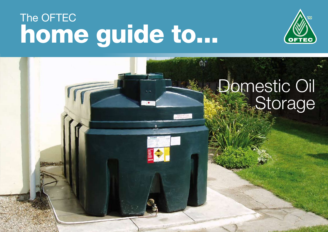# home guide to... The OFTEC



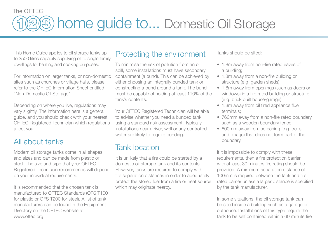#### The OFTEC home guide to... Domestic Oil Storage 128

This Home Guide applies to oil storage tanks up to 3500 litres capacity supplying oil to single family dwellings for heating and cooking purposes.

For information on larger tanks, or non-domestic sites such as churches or village halls, please refer to the OFTEC Information Sheet entitled "Non-Domestic Oil Storage".

Depending on where you live, regulations may vary slightly. The information here is a general guide, and you should check with your nearest OFTEC Registered Technician which regulations affect you.

### All about tanks

Modern oil storage tanks come in all shapes and sizes and can be made from plastic or steel. The size and type that your OFTEC Registered Technician recommends will depend on your individual requirements.

It is recommended that the chosen tank is manufactured to OFTEC Standards (OFS T100 for plastic or OFS T200 for steel). A list of tank manufacturers can be found in the Equipment Directory on the OFTEC website at www.oftec.org

#### Protecting the environment

To minimise the risk of pollution from an oil spill, some installations must have secondary containment (a bund). This can be achieved by either choosing an integrally bunded tank or constructing a bund around a tank. The bund must be capable of holding at least 110% of the tank's contents.

Your OFTEC Registered Technician will be able to advise whether you need a bunded tank using a standard risk assessment. Typically, installations near a river, well or any controlled water are likely to require bunding.

#### Tank location

It is unlikely that a fire could be started by a domestic oil storage tank and its contents. However, tanks are required to comply with fire separation distances in order to adequately protect the stored fuel from a fire or heat source, which may originate nearby.

Tanks should be sited:

- 1.8m away from non-fire rated eaves of a building;
- 1.8m away from a non-fire building or structure (e.g. garden sheds);
- 1.8m away from openings (such as doors or windows) in a fire rated building or structure (e.g. brick built house/garage);
- 1.8m away from oil fired appliance flue terminals;
- 760mm away from a non-fire rated boundary such as a wooden boundary fence;
- 600mm away from screening (e.g. trellis and foliage) that does not form part of the boundary.

If it is impossible to comply with these requirements, then a fire protection barrier with at least 30 minutes fire rating should be provided. A minimum separation distance of 100mm is required between the tank and fire rated barrier unless a larger distance is specified by the tank manufacturer.

In some situations, the oil storage tank can be sited inside a building such as a garage or outhouse. Installations of this type require the tank to be self contained within a 60 minute fire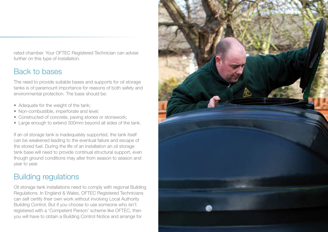rated chamber. Your OFTEC Registered Technician can advise further on this type of installation.

#### Back to bases

The need to provide suitable bases and supports for oil storage tanks is of paramount importance for reasons of both safety and environmental protection. The base should be:

- Adequate for the weight of the tank;
- Non-combustible, imperforate and level;
- Constructed of concrete, paving stones or stonework;
- Large enough to extend 300mm beyond all sides of the tank. •

If an oil storage tank is inadequately supported, the tank itself can be weakened leading to the eventual failure and escape of the stored fuel. During the life of an installation an oil storage tank base will need to provide continual structural support, even though ground conditions may alter from season to season and year to year.

## Building regulations

Oil storage tank installations need to comply with regional Building Regulations. In England & Wales, OFTEC Registered Technicians can self certify their own work without involving Local Authority Building Control. But if you choose to use someone who isn't registered with a 'Competent Person' scheme like OFTEC, then you will have to obtain a Building Control Notice and arrange for